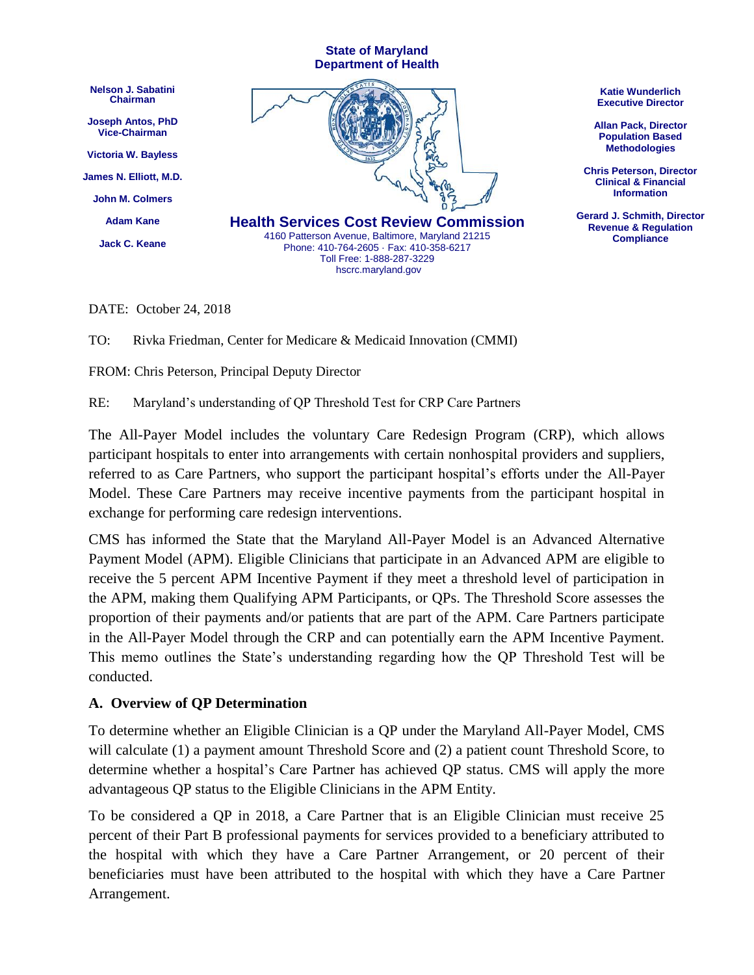

DATE: October 24, 2018

TO: Rivka Friedman, Center for Medicare & Medicaid Innovation (CMMI)

FROM: Chris Peterson, Principal Deputy Director

RE: Maryland's understanding of QP Threshold Test for CRP Care Partners

The All-Payer Model includes the voluntary Care Redesign Program (CRP), which allows participant hospitals to enter into arrangements with certain nonhospital providers and suppliers, referred to as Care Partners, who support the participant hospital's efforts under the All-Payer Model. These Care Partners may receive incentive payments from the participant hospital in exchange for performing care redesign interventions.

CMS has informed the State that the Maryland All-Payer Model is an Advanced Alternative Payment Model (APM). Eligible Clinicians that participate in an Advanced APM are eligible to receive the 5 percent APM Incentive Payment if they meet a threshold level of participation in the APM, making them Qualifying APM Participants, or QPs. The Threshold Score assesses the proportion of their payments and/or patients that are part of the APM. Care Partners participate in the All-Payer Model through the CRP and can potentially earn the APM Incentive Payment. This memo outlines the State's understanding regarding how the QP Threshold Test will be conducted.

#### **A. Overview of QP Determination**

To determine whether an Eligible Clinician is a QP under the Maryland All-Payer Model, CMS will calculate (1) a payment amount Threshold Score and (2) a patient count Threshold Score, to determine whether a hospital's Care Partner has achieved QP status. CMS will apply the more advantageous QP status to the Eligible Clinicians in the APM Entity.

To be considered a QP in 2018, a Care Partner that is an Eligible Clinician must receive 25 percent of their Part B professional payments for services provided to a beneficiary attributed to the hospital with which they have a Care Partner Arrangement, or 20 percent of their beneficiaries must have been attributed to the hospital with which they have a Care Partner Arrangement.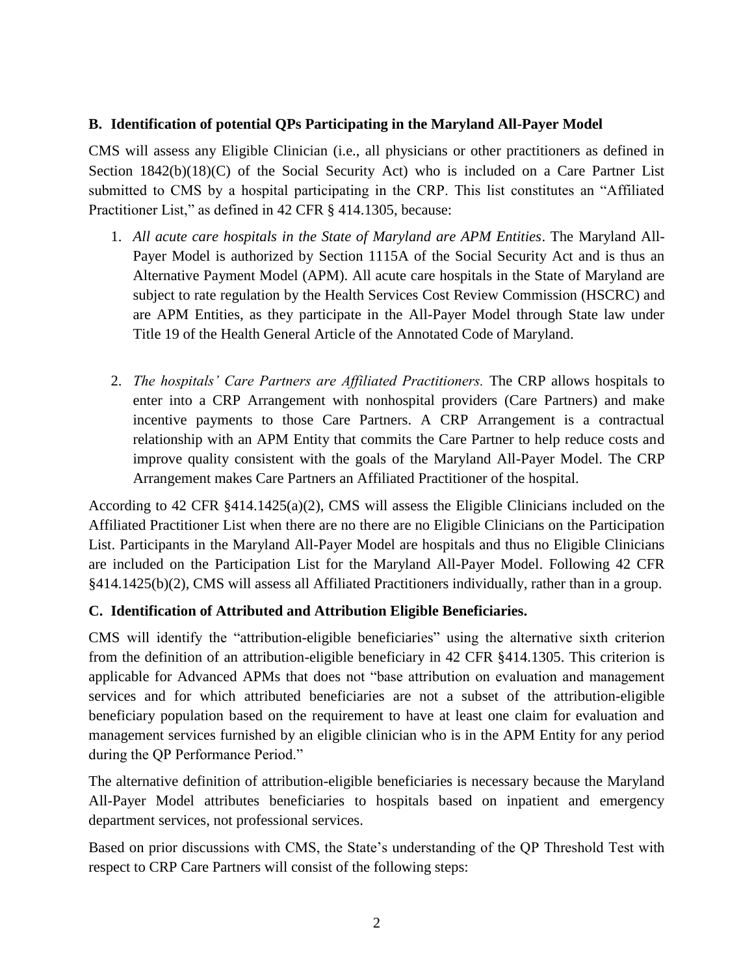### **B. Identification of potential QPs Participating in the Maryland All-Payer Model**

CMS will assess any Eligible Clinician (i.e., all physicians or other practitioners as defined in Section 1842(b)(18)(C) of the Social Security Act) who is included on a Care Partner List submitted to CMS by a hospital participating in the CRP. This list constitutes an "Affiliated Practitioner List," as defined in 42 CFR § 414.1305, because:

- 1. *All acute care hospitals in the State of Maryland are APM Entities*. The Maryland All-Payer Model is authorized by Section 1115A of the Social Security Act and is thus an Alternative Payment Model (APM). All acute care hospitals in the State of Maryland are subject to rate regulation by the Health Services Cost Review Commission (HSCRC) and are APM Entities, as they participate in the All-Payer Model through State law under Title 19 of the Health General Article of the Annotated Code of Maryland.
- 2. *The hospitals' Care Partners are Affiliated Practitioners.* The CRP allows hospitals to enter into a CRP Arrangement with nonhospital providers (Care Partners) and make incentive payments to those Care Partners. A CRP Arrangement is a contractual relationship with an APM Entity that commits the Care Partner to help reduce costs and improve quality consistent with the goals of the Maryland All-Payer Model. The CRP Arrangement makes Care Partners an Affiliated Practitioner of the hospital.

According to 42 CFR §414.1425(a)(2), CMS will assess the Eligible Clinicians included on the Affiliated Practitioner List when there are no there are no Eligible Clinicians on the Participation List. Participants in the Maryland All-Payer Model are hospitals and thus no Eligible Clinicians are included on the Participation List for the Maryland All-Payer Model. Following 42 CFR §414.1425(b)(2), CMS will assess all Affiliated Practitioners individually, rather than in a group.

#### **C. Identification of Attributed and Attribution Eligible Beneficiaries.**

CMS will identify the "attribution-eligible beneficiaries" using the alternative sixth criterion from the definition of an attribution-eligible beneficiary in 42 CFR §414.1305. This criterion is applicable for Advanced APMs that does not "base attribution on evaluation and management services and for which attributed beneficiaries are not a subset of the attribution-eligible beneficiary population based on the requirement to have at least one claim for evaluation and management services furnished by an eligible clinician who is in the APM Entity for any period during the QP Performance Period."

The alternative definition of attribution-eligible beneficiaries is necessary because the Maryland All-Payer Model attributes beneficiaries to hospitals based on inpatient and emergency department services, not professional services.

Based on prior discussions with CMS, the State's understanding of the QP Threshold Test with respect to CRP Care Partners will consist of the following steps: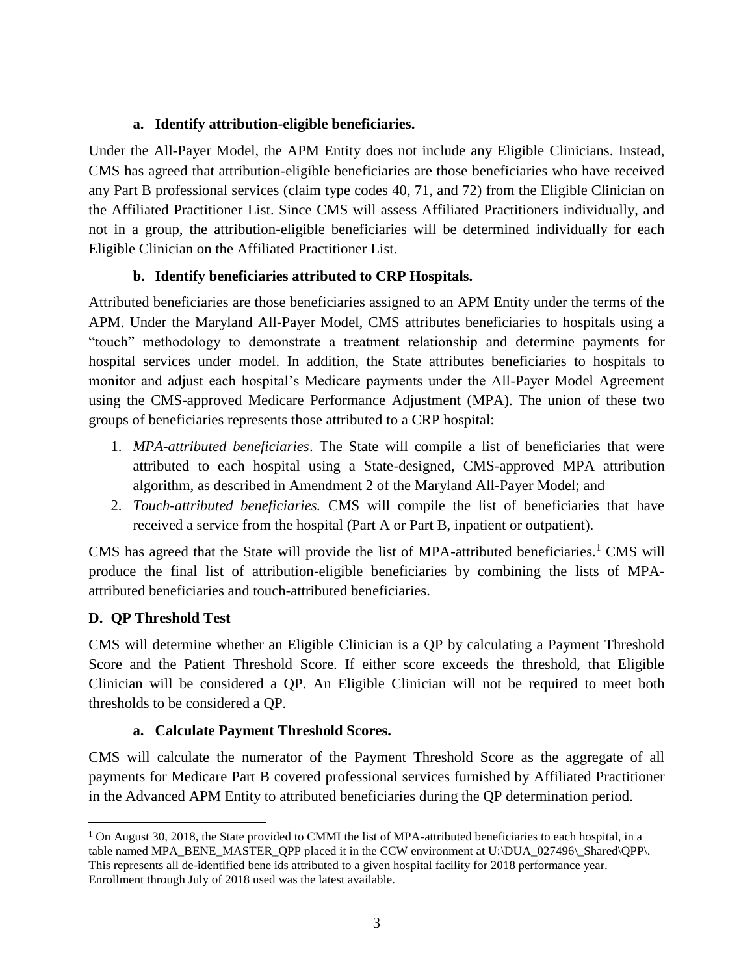### **a. Identify attribution-eligible beneficiaries.**

Under the All-Payer Model, the APM Entity does not include any Eligible Clinicians. Instead, CMS has agreed that attribution-eligible beneficiaries are those beneficiaries who have received any Part B professional services (claim type codes 40, 71, and 72) from the Eligible Clinician on the Affiliated Practitioner List. Since CMS will assess Affiliated Practitioners individually, and not in a group, the attribution-eligible beneficiaries will be determined individually for each Eligible Clinician on the Affiliated Practitioner List.

## **b. Identify beneficiaries attributed to CRP Hospitals.**

Attributed beneficiaries are those beneficiaries assigned to an APM Entity under the terms of the APM. Under the Maryland All-Payer Model, CMS attributes beneficiaries to hospitals using a "touch" methodology to demonstrate a treatment relationship and determine payments for hospital services under model. In addition, the State attributes beneficiaries to hospitals to monitor and adjust each hospital's Medicare payments under the All-Payer Model Agreement using the CMS-approved Medicare Performance Adjustment (MPA). The union of these two groups of beneficiaries represents those attributed to a CRP hospital:

- 1. *MPA-attributed beneficiaries*. The State will compile a list of beneficiaries that were attributed to each hospital using a State-designed, CMS-approved MPA attribution algorithm, as described in Amendment 2 of the Maryland All-Payer Model; and
- 2. *Touch-attributed beneficiaries.* CMS will compile the list of beneficiaries that have received a service from the hospital (Part A or Part B, inpatient or outpatient).

CMS has agreed that the State will provide the list of MPA-attributed beneficiaries.<sup>1</sup> CMS will produce the final list of attribution-eligible beneficiaries by combining the lists of MPAattributed beneficiaries and touch-attributed beneficiaries.

### **D. QP Threshold Test**

 $\overline{a}$ 

CMS will determine whether an Eligible Clinician is a QP by calculating a Payment Threshold Score and the Patient Threshold Score. If either score exceeds the threshold, that Eligible Clinician will be considered a QP. An Eligible Clinician will not be required to meet both thresholds to be considered a QP.

### **a. Calculate Payment Threshold Scores.**

CMS will calculate the numerator of the Payment Threshold Score as the aggregate of all payments for Medicare Part B covered professional services furnished by Affiliated Practitioner in the Advanced APM Entity to attributed beneficiaries during the QP determination period.

 $1$  On August 30, 2018, the State provided to CMMI the list of MPA-attributed beneficiaries to each hospital, in a table named MPA\_BENE\_MASTER\_QPP placed it in the CCW environment at U: $|DUA_027496\angle\$ Shared $\langle QPP\rangle$ . This represents all de-identified bene ids attributed to a given hospital facility for 2018 performance year. Enrollment through July of 2018 used was the latest available.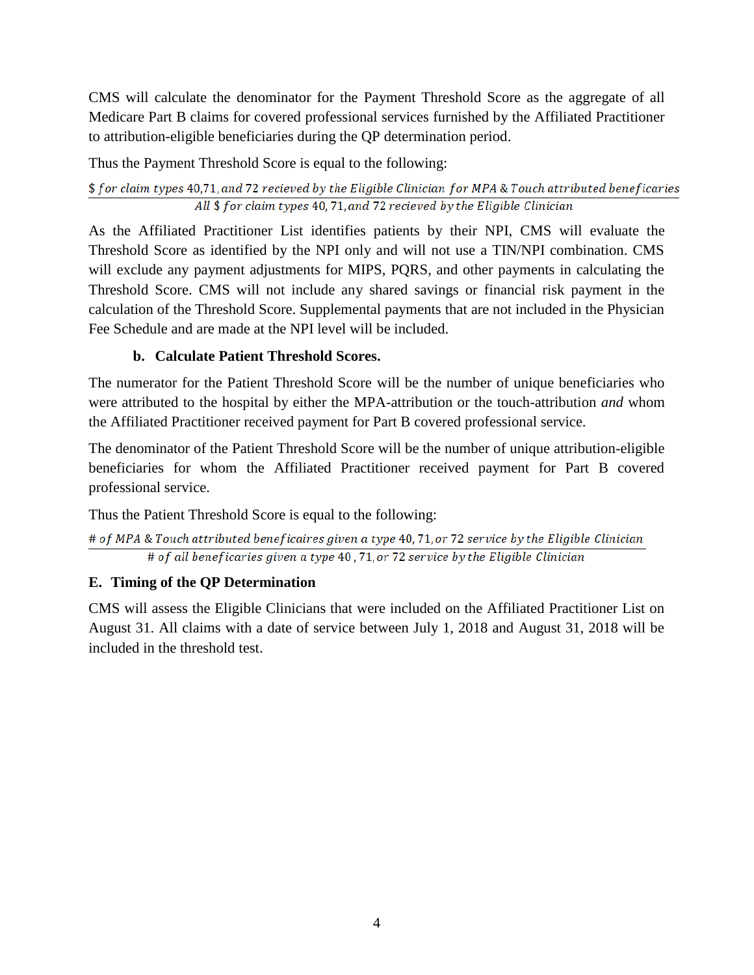CMS will calculate the denominator for the Payment Threshold Score as the aggregate of all Medicare Part B claims for covered professional services furnished by the Affiliated Practitioner to attribution-eligible beneficiaries during the QP determination period.

Thus the Payment Threshold Score is equal to the following:

\$ for claim types 40,71, and 72 recieved by the Eligible Clinician for MPA & Touch attributed beneficaries All \$ for claim types 40, 71, and 72 recieved by the Eligible Clinician

As the Affiliated Practitioner List identifies patients by their NPI, CMS will evaluate the Threshold Score as identified by the NPI only and will not use a TIN/NPI combination. CMS will exclude any payment adjustments for MIPS, PQRS, and other payments in calculating the Threshold Score. CMS will not include any shared savings or financial risk payment in the calculation of the Threshold Score. Supplemental payments that are not included in the Physician Fee Schedule and are made at the NPI level will be included.

# **b. Calculate Patient Threshold Scores.**

The numerator for the Patient Threshold Score will be the number of unique beneficiaries who were attributed to the hospital by either the MPA-attribution or the touch-attribution *and* whom the Affiliated Practitioner received payment for Part B covered professional service.

The denominator of the Patient Threshold Score will be the number of unique attribution-eligible beneficiaries for whom the Affiliated Practitioner received payment for Part B covered professional service.

Thus the Patient Threshold Score is equal to the following:

```
# of MPA & Touch attributed beneficaires given a type 40, 71, or 72 service by the Eligible Clinician
# of all beneficaries given a type 40,71, or 72 service by the Eligible Clinician
```
# **E. Timing of the QP Determination**

CMS will assess the Eligible Clinicians that were included on the Affiliated Practitioner List on August 31. All claims with a date of service between July 1, 2018 and August 31, 2018 will be included in the threshold test.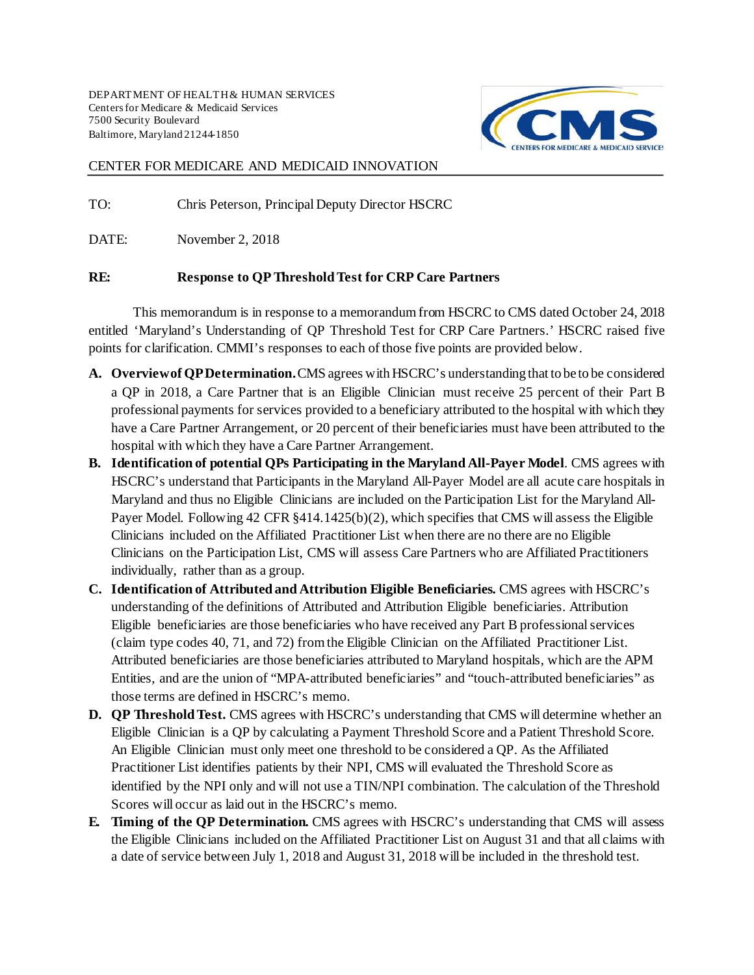

#### CENTER FOR MEDICARE AND MEDICAID INNOVATION

TO: Chris Peterson, Principal Deputy Director HSCRC

DATE: November 2, 2018

#### RE: Response to QP Threshold Test for CRP Care Partners

This memorandum is in response to a memorandum from HSCRC to CMS dated October 24, 2018 entitled 'Maryland's Understanding of QP Threshold Test for CRP Care Partners.' HSCRC raised five points for clarification. CMMI's responses to each of those five points are provided below.

- **A. Overview of QP Determination.** CMS agrees with HSCRC's understanding that to be to be considered a QP in 2018, a Care Partner that is an Eligible Clinician must receive 25 percent of their Part B professional payments for services provided to a beneficiary attributed to the hospital with which they have a Care Partner Arrangement, or 20 percent of their beneficiaries must have been attributed to the hospital with which they have a Care Partner Arrangement.
- **B. Identification of potential QPs Participating in the Maryland All-Payer Model**. CMS agrees with HSCRC's understand that Participants in the Maryland All-Payer Model are all acute care hospitals in Maryland and thus no Eligible Clinicians are included on the Participation List for the Maryland All-Payer Model. Following 42 CFR §414.1425(b)(2), which specifies that CMS will assess the Eligible Clinicians included on the Affiliated Practitioner List when there are no there are no Eligible Clinicians on the Participation List, CMS will assess Care Partners who are Affiliated Practitioners individually, rather than as a group.
- **C. Identification of Attributed and Attribution Eligible Beneficiaries.** CMS agrees with HSCRC's understanding of the definitions of Attributed and Attribution Eligible beneficiaries. Attribution Eligible beneficiaries are those beneficiaries who have received any Part B professional services (claim type codes 40, 71, and 72) from the Eligible Clinician on the Affiliated Practitioner List. Attributed beneficiaries are those beneficiaries attributed to Maryland hospitals, which are the APM Entities, and are the union of "MPA-attributed beneficiaries" and "touch-attributed beneficiaries" as those terms are defined in HSCRC's memo.
- **D. QP Threshold Test.** CMS agrees with HSCRC's understanding that CMS will determine whether an Eligible Clinician is a QP by calculating a Payment Threshold Score and a Patient Threshold Score. An Eligible Clinician must only meet one threshold to be considered a QP. As the Affiliated Practitioner List identifies patients by their NPI, CMS will evaluated the Threshold Score as identified by the NPI only and will not use a TIN/NPI combination. The calculation of the Threshold Scores will occur as laid out in the HSCRC's memo.
- **E. Timing of the QP Determination.** CMS agrees with HSCRC's understanding that CMS will assess the Eligible Clinicians included on the Affiliated Practitioner List on August 31 and that all claims with a date of service between July 1, 2018 and August 31, 2018 will be included in the threshold test.